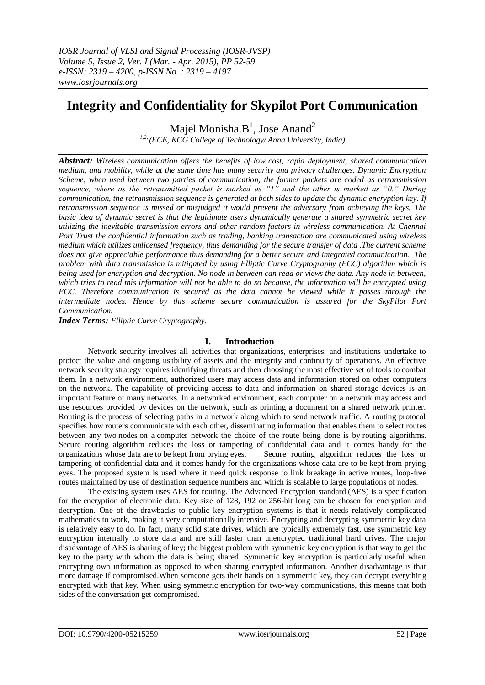# **Integrity and Confidentiality for Skypilot Port Communication**

Majel Monisha. $B^1$ , Jose Anand<sup>2</sup> *1,2, (ECE, KCG College of Technology/ Anna University, India)*

*Abstract: Wireless communication offers the benefits of low cost, rapid deployment, shared communication medium, and mobility, while at the same time has many security and privacy challenges. Dynamic Encryption Scheme, when used between two parties of communication, the former packets are coded as retransmission sequence, where as the retransmitted packet is marked as "1" and the other is marked as "0." During communication, the retransmission sequence is generated at both sides to update the dynamic encryption key. If retransmission sequence is missed or misjudged it would prevent the adversary from achieving the keys. The basic idea of dynamic secret is that the legitimate users dynamically generate a shared symmetric secret key utilizing the inevitable transmission errors and other random factors in wireless communication. At Chennai Port Trust the confidential information such as trading, banking transaction are communicated using wireless medium which utilizes unlicensed frequency, thus demanding for the secure transfer of data .The current scheme does not give appreciable performance thus demanding for a better secure and integrated communication. The problem with data transmission is mitigated by using Elliptic Curve Cryptography (ECC) algorithm which is being used for encryption and decryption. No node in between can read or views the data. Any node in between, which tries to read this information will not be able to do so because, the information will be encrypted using ECC. Therefore communication is secured as the data cannot be viewed while it passes through the intermediate nodes. Hence by this scheme secure communication is assured for the SkyPilot Port Communication.*

*Index Terms: Elliptic Curve Cryptography.*

## **I. Introduction**

Network security involves all activities that organizations, enterprises, and institutions undertake to protect the value and ongoing usability of assets and the integrity and continuity of operations. An effective network security strategy requires identifying threats and then choosing the most effective set of tools to combat them. In a network environment, authorized users may access data and information stored on other computers on the network. The capability of providing access to data and information on shared storage devices is an important feature of many networks. In a networked environment, each computer on a network may access and use resources provided by devices on the network, such as printing a document on a shared network printer. Routing is the process of selecting paths in a network along which to send network traffic. A routing protocol specifies how routers communicate with each other, disseminating information that enables them to select routes between any two nodes on a computer network the choice of the route being done is by routing algorithms. Secure routing algorithm reduces the loss or tampering of confidential data and it comes handy for the organizations whose data are to be kept from prying eyes. Secure routing algorithm reduces the loss or tampering of confidential data and it comes handy for the organizations whose data are to be kept from prying eyes. The proposed system is used where it need quick response to link breakage in active routes, loop-free routes maintained by use of destination sequence numbers and which is scalable to large populations of nodes.

The existing system uses AES for routing. The Advanced Encryption standard (AES) is a specification for the [encryption](http://en.wikipedia.org/wiki/Encryption) of electronic data. Key size of 128, 192 or 256-bit long can be chosen for encryption and decryption. One of the drawbacks to public key encryption systems is that it needs relatively complicated mathematics to work, making it very computationally intensive. Encrypting and decrypting symmetric key data is relatively easy to do. In fact, many solid state drives, which are typically extremely fast, use symmetric key encryption internally to store data and are still faster than unencrypted traditional hard drives. The major disadvantage of AES is sharing of key; the biggest problem with symmetric key encryption is that way to get the key to the party with whom the data is being shared. Symmetric key encryption is particularly useful when encrypting own information as opposed to when sharing encrypted information. Another disadvantage is that more damage if compromised.When someone gets their hands on a symmetric key, they can decrypt everything encrypted with that key. When using symmetric encryption for two-way communications, this means that both sides of the conversation get compromised.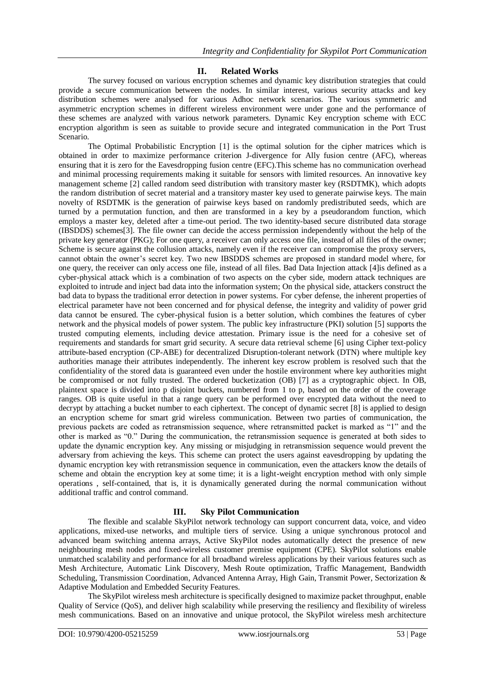## **II. Related Works**

The survey focused on various encryption schemes and dynamic key distribution strategies that could provide a secure communication between the nodes. In similar interest, various security attacks and key distribution schemes were analysed for various Adhoc network scenarios. The various symmetric and asymmetric encryption schemes in different wireless environment were under gone and the performance of these schemes are analyzed with various network parameters. Dynamic Key encryption scheme with ECC encryption algorithm is seen as suitable to provide secure and integrated communication in the Port Trust Scenario.

The Optimal Probabilistic Encryption [1] is the optimal solution for the cipher matrices which is obtained in order to maximize performance criterion J-divergence for Ally fusion centre (AFC), whereas ensuring that it is zero for the Eavesdropping fusion centre (EFC).This scheme has no communication overhead and minimal processing requirements making it suitable for sensors with limited resources. An innovative key management scheme [2] called random seed distribution with transitory master key (RSDTMK), which adopts the random distribution of secret material and a transitory master key used to generate pairwise keys. The main novelty of RSDTMK is the generation of pairwise keys based on randomly predistributed seeds, which are turned by a permutation function, and then are transformed in a key by a pseudorandom function, which employs a master key, deleted after a time-out period. The two identity-based secure distributed data storage (IBSDDS) schemes[3]. The file owner can decide the access permission independently without the help of the private key generator (PKG); For one query, a receiver can only access one file, instead of all files of the owner; Scheme is secure against the collusion attacks, namely even if the receiver can compromise the proxy servers, cannot obtain the owner"s secret key. Two new IBSDDS schemes are proposed in standard model where, for one query, the receiver can only access one file, instead of all files. Bad Data Injection attack [4]is defined as a cyber-physical attack which is a combination of two aspects on the cyber side, modern attack techniques are exploited to intrude and inject bad data into the information system; On the physical side, attackers construct the bad data to bypass the traditional error detection in power systems. For cyber defense, the inherent properties of electrical parameter have not been concerned and for physical defense, the integrity and validity of power grid data cannot be ensured. The cyber-physical fusion is a better solution, which combines the features of cyber network and the physical models of power system. The public key infrastructure (PKI) solution [5] supports the trusted computing elements, including device attestation. Primary issue is the need for a cohesive set of requirements and standards for smart grid security. A secure data retrieval scheme [6] using Cipher text-policy attribute-based encryption (CP-ABE) for decentralized Disruption-tolerant network (DTN) where multiple key authorities manage their attributes independently. The inherent key escrow problem is resolved such that the confidentiality of the stored data is guaranteed even under the hostile environment where key authorities might be compromised or not fully trusted. The ordered bucketization (OB) [7] as a cryptographic object. In OB, plaintext space is divided into p disjoint buckets, numbered from 1 to p, based on the order of the coverage ranges. OB is quite useful in that a range query can be performed over encrypted data without the need to decrypt by attaching a bucket number to each ciphertext. The concept of dynamic secret [8] is applied to design an encryption scheme for smart grid wireless communication. Between two parties of communication, the previous packets are coded as retransmission sequence, where retransmitted packet is marked as "1" and the other is marked as "0." During the communication, the retransmission sequence is generated at both sides to update the dynamic encryption key. Any missing or misjudging in retransmission sequence would prevent the adversary from achieving the keys. This scheme can protect the users against eavesdropping by updating the dynamic encryption key with retransmission sequence in communication, even the attackers know the details of scheme and obtain the encryption key at some time; it is a light-weight encryption method with only simple operations , self-contained, that is, it is dynamically generated during the normal communication without additional traffic and control command.

## **III. Sky Pilot Communication**

The flexible and scalable SkyPilot network technology can support concurrent data, voice, and video applications, mixed-use networks, and multiple tiers of service. Using a unique synchronous protocol and advanced beam switching antenna arrays, Active SkyPilot nodes automatically detect the presence of new neighbouring mesh nodes and fixed-wireless customer premise equipment (CPE). SkyPilot solutions enable unmatched scalability and performance for all broadband wireless applications by their various features such as Mesh Architecture, Automatic Link Discovery, Mesh Route optimization, Traffic Management, Bandwidth Scheduling, Transmission Coordination, Advanced Antenna Array, High Gain, Transmit Power, Sectorization & Adaptive Modulation and Embedded Security Features.

The SkyPilot wireless mesh architecture is specifically designed to maximize packet throughput, enable Quality of Service (QoS), and deliver high scalability while preserving the resiliency and flexibility of wireless mesh communications. Based on an innovative and unique protocol, the SkyPilot wireless mesh architecture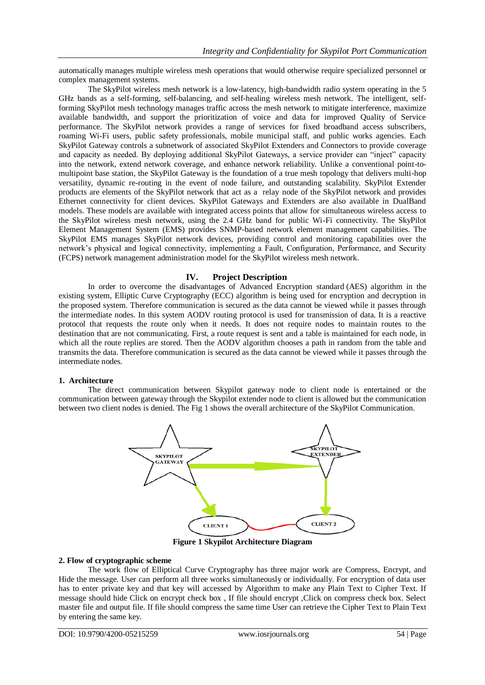automatically manages multiple wireless mesh operations that would otherwise require specialized personnel or complex management systems.

The SkyPilot wireless mesh network is a low-latency, high-bandwidth radio system operating in the 5 GHz bands as a self-forming, self-balancing, and self-healing wireless mesh network. The intelligent, selfforming SkyPilot mesh technology manages traffic across the mesh network to mitigate interference, maximize available bandwidth, and support the prioritization of voice and data for improved Quality of Service performance. The SkyPilot network provides a range of services for fixed broadband access subscribers, roaming Wi-Fi users, public safety professionals, mobile municipal staff, and public works agencies. Each SkyPilot Gateway controls a subnetwork of associated SkyPilot Extenders and Connectors to provide coverage and capacity as needed. By deploying additional SkyPilot Gateways, a service provider can "inject" capacity into the network, extend network coverage, and enhance network reliability. Unlike a conventional point-tomultipoint base station, the SkyPilot Gateway is the foundation of a true mesh topology that delivers multi-hop versatility, dynamic re-routing in the event of node failure, and outstanding scalability. SkyPilot Extender products are elements of the SkyPilot network that act as a relay node of the SkyPilot network and provides Ethernet connectivity for client devices. SkyPilot Gateways and Extenders are also available in DualBand models. These models are available with integrated access points that allow for simultaneous wireless access to the SkyPilot wireless mesh network, using the 2.4 GHz band for public Wi-Fi connectivity. The SkyPilot Element Management System (EMS) provides SNMP-based network element management capabilities. The SkyPilot EMS manages SkyPilot network devices, providing control and monitoring capabilities over the network"s physical and logical connectivity, implementing a Fault, Configuration, Performance, and Security (FCPS) network management administration model for the SkyPilot wireless mesh network.

### **IV. Project Description**

In order to overcome the disadvantages of Advanced Encryption standard (AES) algorithm in the existing system, Elliptic Curve Cryptography (ECC) algorithm is being used for encryption and decryption in the proposed system. Therefore communication is secured as the data cannot be viewed while it passes through the intermediate nodes. In this system AODV routing protocol is used for transmission of data. It is a reactive protocol that requests the route only when it needs. It does not require nodes to maintain routes to the destination that are not communicating. First, a route request is sent and a table is maintained for each node, in which all the route replies are stored. Then the AODV algorithm chooses a path in random from the table and transmits the data. Therefore communication is secured as the data cannot be viewed while it passes through the intermediate nodes.

#### **1. Architecture**

The direct communication between Skypilot gateway node to client node is entertained or the communication between gateway through the Skypilot extender node to client is allowed but the communication between two client nodes is denied. The Fig 1 shows the overall architecture of the SkyPilot Communication.



**Figure 1 Skypilot Architecture Diagram**

#### **2. Flow of cryptographic scheme**

The work flow of Elliptical Curve Cryptography has three major work are Compress, Encrypt, and Hide the message. User can perform all three works simultaneously or individually. For encryption of data user has to enter private key and that key will accessed by Algorithm to make any Plain Text to Cipher Text. If message should hide Click on encrypt check box , If file should encrypt ,Click on compress check box. Select master file and output file. If file should compress the same time User can retrieve the Cipher Text to Plain Text by entering the same key.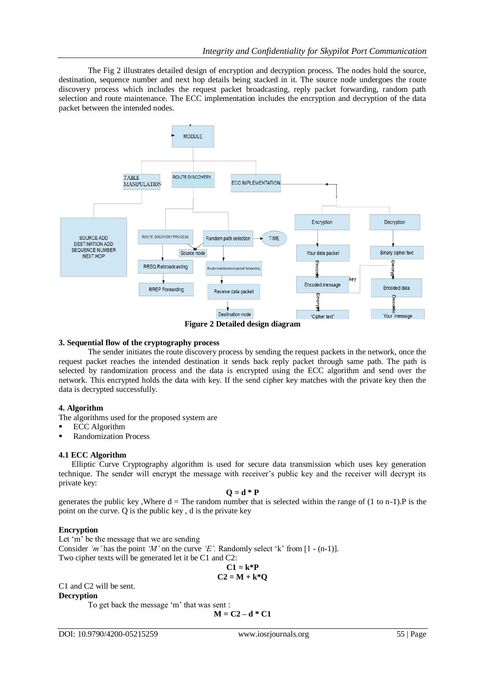The Fig 2 illustrates detailed design of encryption and decryption process. The nodes hold the source, destination, sequence number and next hop details being stacked in it. The source node undergoes the route discovery process which includes the request packet broadcasting, reply packet forwarding, random path selection and route maintenance. The ECC implementation includes the encryption and decryption of the data packet between the intended nodes.



#### **3. Sequential flow of the cryptography process**

The sender initiates the route discovery process by sending the request packets in the network, once the request packet reaches the intended destination it sends back reply packet through same path. The path is selected by randomization process and the data is encrypted using the ECC algorithm and send over the network. This encrypted holds the data with key. If the send cipher key matches with the private key then the data is decrypted successfully.

#### **4. Algorithm**

The algorithms used for the proposed system are

- ECC Algorithm
- Randomization Process

#### **4.1 ECC Algorithm**

Elliptic Curve Cryptography algorithm is used for secure data transmission which uses key generation technique. The sender will encrypt the message with receiver"s public key and the receiver will decrypt its private key:

$$
Q = d * P
$$

generates the public key, Where  $d = Th$ e random number that is selected within the range of (1 to n-1). P is the point on the curve. Q is the public key , d is the private key

#### **Encryption**

Let 'm' be the message that we are sending

Consider 'm' has the point 'M' on the curve 'E'. Randomly select 'k' from [1 - (n-1)]. Two cipher texts will be generated let it be C1 and C2:

$$
C1 = k^*P
$$

$$
C2 = M + k^*Q
$$

C1 and C2 will be sent.

**Decryption**

To get back the message "m" that was sent :

**M = C2 – d \* C1**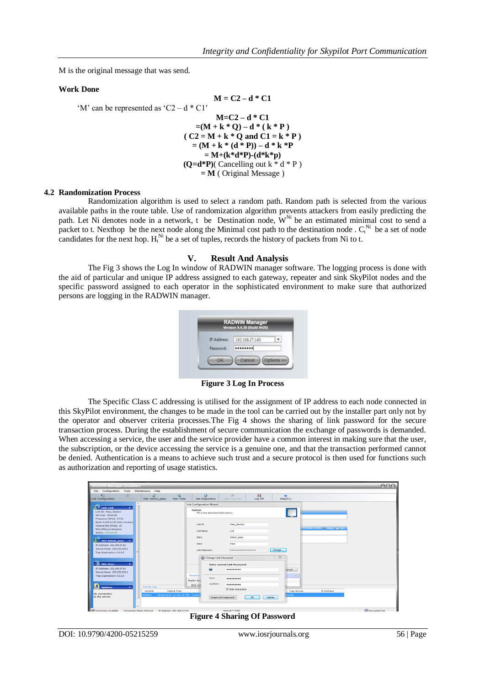M is the original message that was send.

#### **Work Done**

$$
M = C2 - d * C1
$$
  
\n'W' can be represented as 'C2 - d \* C1'  
\n
$$
M = C2 - d * C1
$$
  
\n
$$
= (M + k * Q) - d * (k * P)
$$
  
\n
$$
= (M + k * Q \text{ and } C1 = k * P)
$$
  
\n
$$
= (M + k * (d * P)) - d * k * P
$$
  
\n
$$
= M + (k * d * P) - (d * k * p)
$$
  
\n
$$
(Q = d * P) (Cancelling out k * d * P)
$$
  
\n
$$
= M (Original Message)
$$

#### **4.2 Randomization Process**

Randomization algorithm is used to select a random path. Random path is selected from the various available paths in the route table. Use of randomization algorithm prevents attackers from easily predicting the path. Let Ni denotes node in a network, t be Destination node,  $W<sup>Ni</sup>$  be an estimated minimal cost to send a packet to t. Nexthop be the next node along the Minimal cost path to the destination node .  $C_t^{Ni}$  be a set of node candidates for the next hop.  $H_t^N$  be a set of tuples, records the history of packets from Ni to t.

#### **V. Result And Analysis**

The Fig 3 shows the Log In window of RADWIN manager software. The logging process is done with the aid of particular and unique IP address assigned to each gateway, repeater and sink SkyPilot nodes and the specific password assigned to each operator in the sophisticated environment to make sure that authorized persons are logging in the RADWIN manager.



**Figure 3 Log In Process**

The Specific Class C addressing is utilised for the assignment of IP address to each node connected in this SkyPilot environment, the changes to be made in the tool can be carried out by the installer part only not by the operator and observer criteria processes.The Fig 4 shows the sharing of link password for the secure transaction process. During the establishment of secure communication the exchange of passwords is demanded. When accessing a service, the user and the service provider have a common interest in making sure that the user, the subscription, or the device accessing the service is a genuine one, and that the transaction performed cannot be denied. Authentication is a means to achieve such trust and a secure protocol is then used for functions such as authorization and reporting of usage statistics.

| <b>RADWIN Manager (Installer)</b>                                                                          |                                                                                             | AA |
|------------------------------------------------------------------------------------------------------------|---------------------------------------------------------------------------------------------|----|
| File Configuration Tools Maintenance Help                                                                  |                                                                                             |    |
| 2<<br>船<br>-58<br>R)<br>Link Configuration Link Installation   Site: Admin. pass<br>Site: Pass             | ß.<br>国<br>14<br>$^{12}$<br>Log Off<br>Help(F1)<br><b>Get Diagnostics</b><br>Clear Counters |    |
|                                                                                                            | <b>Link Configuration Wizard</b>                                                            |    |
| $\mathbb{A}^{\mathbb{Z} \times \mathbb{Z}}$ Link: Link<br>Link ID: Pass Section<br>Services: Ethernet      | <b>System</b><br>_____<br>Fill in the attribute fields below.                               |    |
| Frequency [GHz]: 5.710<br>Band: 5.475-5.720 GHz Universal<br>Channel BW [MHz]: 20<br>Rate [Mbps]: Adaptive | Link ID<br>Pass Section<br>Tx Rate Units: @ Mbps @ Fps                                      |    |
| Status: Link Active                                                                                        | Link<br>Link Name                                                                           |    |
| $\mathbb{R}$ Site: Admin pass $\hat{\mathbb{R}}$                                                           | Site <sub>1</sub><br>Admin pass                                                             |    |
| IP Address: 192.168.27.62                                                                                  | Pass<br>Site <sub>2</sub>                                                                   |    |
| Subnet Mask: 255.255.255.0<br>Trap Destination: 0.0.0.0                                                    | Change<br><b>Link Password</b><br>                                                          |    |
|                                                                                                            | $\Sigma$<br>(a) Change Link Password                                                        |    |
| M Site: Pass<br>$\sim$                                                                                     | <b>Enter current Link Password:</b>                                                         |    |
| IP Address: 192.168.27.63                                                                                  | $\bigoplus$<br><br>ancel                                                                    |    |
| Subnet Mask: 255,255,255.0<br>Trap Destination: 0.0.0.0                                                    | Monitor<br>$\approx$                                                                        |    |
|                                                                                                            | New:<br><br>Radio In                                                                        |    |
| Р<br>Events Log<br><b>Updates</b><br>$\hat{z}$                                                             | Confirm:<br><br><b>RSS Id</b>                                                               |    |
| Number<br>Date & Time                                                                                      | V Hide characters<br><b>IP Address</b><br><b>Trap Source</b>                                |    |
| No connection<br>8/26/2014 12:24:16 PM Conn<br>000001<br>to the server.                                    | ernal<br>Forgot Link Password?<br><b>OK</b><br>Cancel                                       |    |
|                                                                                                            |                                                                                             |    |

**Figure 4 Sharing Of Password**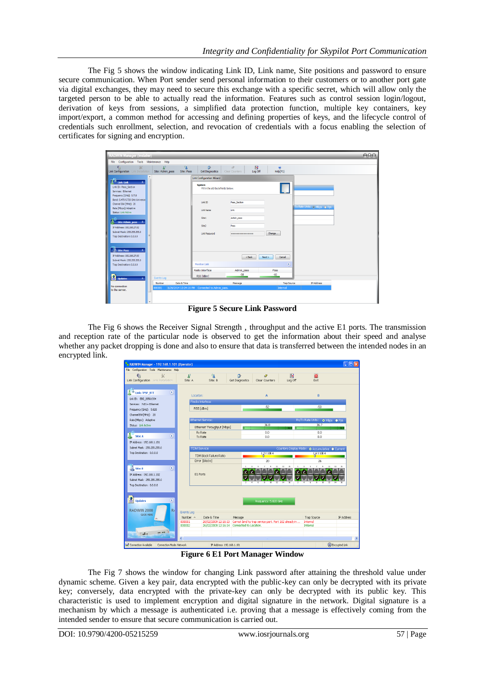The Fig 5 shows the window indicating Link ID, Link name, Site positions and password to ensure secure communication. When Port sender send personal information to their customers or to another port gate via digital exchanges, they may need to secure this exchange with a specific secret, which will allow only the targeted person to be able to actually read the information. Features such as control session login/logout, derivation of keys from sessions, a simplified data protection function, multiple key containers, key import/export, a common method for accessing and defining properties of keys, and the lifecycle control of credentials such enrollment, selection, and revocation of credentials with a focus enabling the selection of certificates for signing and encryption.

| <b>RADWIN Manager (Installer)</b>                                                                                                                                                                                                                                                                                                                           |                                              |                                                                                                                                                                      |                                                 |                                                                                         |                             | AOC |
|-------------------------------------------------------------------------------------------------------------------------------------------------------------------------------------------------------------------------------------------------------------------------------------------------------------------------------------------------------------|----------------------------------------------|----------------------------------------------------------------------------------------------------------------------------------------------------------------------|-------------------------------------------------|-----------------------------------------------------------------------------------------|-----------------------------|-----|
| File Configuration Tools Maintenance Help                                                                                                                                                                                                                                                                                                                   |                                              |                                                                                                                                                                      |                                                 |                                                                                         |                             |     |
| 输<br>宝<br>Link Configuration Link Installation                                                                                                                                                                                                                                                                                                              | 锰<br>A.<br>Site: Admin_pass<br>Site: Pass    | B<br><b>Get Diagnostics</b>                                                                                                                                          | 囻<br>$\mathscr{D}$<br>Clear Counters<br>Log Off | $\alpha$<br>Help(F1)                                                                    |                             |     |
| $\int_{0}^{\frac{1}{2}}$ Link: Link<br>$\hat{\mathbf{x}}$<br>Link ID: Pass Section<br>Services: Ethernet<br>Frequency [GHz]: 5.710<br>Band: 5.475-5.720 GHz Universal<br>Channel BW [MHz]: 20<br>Rate [Mbps]: Adaptive<br>Status: Link Active<br>Site: Admin pass 2<br>IP Address: 192.168.27.62<br>Subnet Mask: 255,255,255.0<br>Trap Destination: 0.0.0.0 |                                              | Link Configuration Wizard<br>System<br>Fill in the attribute fields below.<br>Link ID<br><b>Tink Name</b><br>Site <sub>1</sub><br>Site <sub>2</sub><br>Link Password | Pass Section<br>Tink<br>Admin pass<br>Pass<br>  | Change                                                                                  | Tx Rate Units: @ Mbps @ Fps |     |
| $\hat{z}$<br>Site: Pass<br>IP Address: 192.168.27.63<br>Subnet Mask: 255.255.255.0<br>Trap Destination: 0.0.0.0<br>$\mathbf{\hat{z}}$<br><b>Updates</b><br>No connection<br>to the server.                                                                                                                                                                  | Events Log<br>Date & Time<br>Number<br>00001 | <b>Monitor Link</b><br>Radio Interface<br>RSS [dBm]<br>8/26/2014 12:24:16 PM Connected to Admin_pass.                                                                | $<$ Back<br>Admin pass<br>$-58$<br>Message      | Cancel<br>Next<br>$\hat{\mathbf{x}}$<br>Pass<br>$-60$<br><b>Trap Source</b><br>Internal | <b>IP Address</b>           |     |

**Figure 5 Secure Link Password**

The Fig 6 shows the Receiver Signal Strength , throughput and the active E1 ports. The transmission and reception rate of the particular node is observed to get the information about their speed and analyse whether any packet dropping is done and also to ensure that data is transferred between the intended nodes in an encrypted link.

| RADWIN Manager - 192.168.1.101 (Operator)<br>$ .\ $ o $\ $ x                                                               |                                                           |                                                                                                                                    |                                                 |                                          |  |  |
|----------------------------------------------------------------------------------------------------------------------------|-----------------------------------------------------------|------------------------------------------------------------------------------------------------------------------------------------|-------------------------------------------------|------------------------------------------|--|--|
| File Configuration Tools Maintenance Help                                                                                  |                                                           |                                                                                                                                    |                                                 |                                          |  |  |
| 宝<br>霜<br>Link Configuration Link Installation                                                                             | $\mathbb{R}^3$<br>锰<br>Site: A<br>Site: B                 | B<br>0<br>Get Diagnostics<br>Clear Counters                                                                                        | 网<br>$\overline{\mathbf{a}}$<br>Log Off<br>Exit |                                          |  |  |
| $\otimes$<br><b>Link: TPSF_BTT</b><br>Link ID: EBG 20561334                                                                | Location:<br>Radio Interface:                             | A.                                                                                                                                 |                                                 | $\overline{R}$                           |  |  |
| Services: 7xE1+ Ethernet<br>Frequency [GHz]: 5.820<br>Channel BW [MHz]: 20                                                 | RSS [dBm]                                                 | $-52$                                                                                                                              |                                                 | $-53$                                    |  |  |
| Rate [Mbps]: Adaptive<br>Status: Link Active                                                                               | Ethernet Service:<br>Ethernet Throughput [Mbps]           | 36.8<br>$\overline{0}$                                                                                                             | 36.9                                            | Rx/Tx Rate Units: O Mbps O Fps<br>36.7   |  |  |
| $\overline{\mathbf{z}}$<br>Site: A                                                                                         | Rx Rate<br>Tx Rate                                        | 0.0<br>0.0                                                                                                                         |                                                 | 0.0<br>0.0                               |  |  |
| IP Address: 192.168.1.101<br>Subnet Mask: 255.255.255.0                                                                    | <b>TDM</b> Service:                                       |                                                                                                                                    | Counters Display Mode: O Accumulative O Current |                                          |  |  |
| Trap Destination: 0.0.0.0                                                                                                  | TDM Block Failure Ratio                                   | $1.2 \times 10E - 4$                                                                                                               |                                                 | $1.6 \times 10E - 4$                     |  |  |
|                                                                                                                            | Error [Blocks]                                            | 20<br>11                                                                                                                           | $\Omega$<br>15                                  | 26<br>$\overline{13}$<br>15              |  |  |
| $\overline{\mathbf{z}}$<br>Site: B<br>IP Address: 192.168.1.102<br>Subnet Mask: 255.255.255.0<br>Trap Destination: 0.0.0.0 | E1 Ports                                                  | $\overline{12}$                                                                                                                    | 14                                              |                                          |  |  |
| ≗<br>$\bar{\mathbf{x}}$<br><b>Updates</b>                                                                                  |                                                           | Frequency: 5,820 GHz                                                                                                               |                                                 |                                          |  |  |
| R<br><b>RADWIN 2000</b><br><b>CLICK HERE</b><br>$\sim 10$                                                                  | Events Log<br>Number A<br>Date & Time<br>000001<br>000002 | Message<br>26/02/2009 12:16:13 Cannot bind to trap service port. Port 162 already in<br>26/02/2009 12:16:14 Connected to Location. | Trap Source<br>Internal<br>Internal             | <b>IP Address</b>                        |  |  |
| Connection Available<br>Connection Mode: Network                                                                           | ¢<br>IP Address: 192.168.1.101                            | m                                                                                                                                  |                                                 | $\rightarrow$<br><b>B</b> Encrypted Link |  |  |

**Figure 6 E1 Port Manager Window**

The Fig 7 shows the window for changing Link password after attaining the threshold value under dynamic scheme. Given a key pair, data encrypted with the public-key can only be decrypted with its private key; conversely, data encrypted with the private-key can only be decrypted with its public key. This characteristic is used to implement encryption and digital signature in the network. Digital signature is a mechanism by which a message is authenticated i.e. proving that a message is effectively coming from the intended sender to ensure that secure communication is carried out.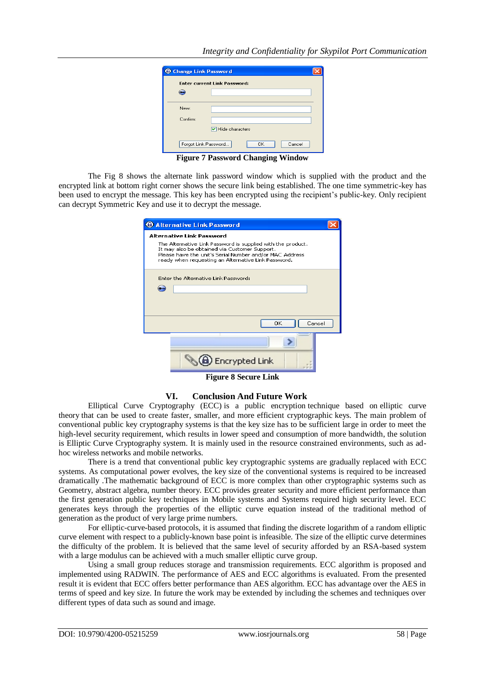## *Integrity and Confidentiality for Skypilot Port Communication*

|          | <b>Enter current Link Password:</b>         |
|----------|---------------------------------------------|
| .<br>-   |                                             |
| New:     |                                             |
| Confirm: |                                             |
|          |                                             |
|          | □ Hide characters                           |
|          | <b>OK</b><br>Forgot Link Password<br>Cancel |

**Figure 7 Password Changing Window**

The Fig 8 shows the alternate link password window which is supplied with the product and the encrypted link at bottom right corner shows the secure link being established. The one time symmetric-key has been used to encrypt the message. This key has been encrypted using the recipient"s public-key. Only recipient can decrypt Symmetric Key and use it to decrypt the message.

| <b>C</b> Alternative Link Password                                                                                                                                                                                                                                 |  |
|--------------------------------------------------------------------------------------------------------------------------------------------------------------------------------------------------------------------------------------------------------------------|--|
| <b>Alternative Link Password</b><br>The Alternative Link Password is supplied with the product.<br>It may also be obtained via Customer Support.<br>Please have the unit's Serial Number and/or MAC Address<br>ready when requesting an Alternative Link Password, |  |
| Enter the Alternative Link Password:                                                                                                                                                                                                                               |  |
| OK<br>Cancel                                                                                                                                                                                                                                                       |  |
|                                                                                                                                                                                                                                                                    |  |
| e) Encrypted Link                                                                                                                                                                                                                                                  |  |
| Figure & Cooung Link                                                                                                                                                                                                                                               |  |

**Figure 8 Secure Link**

#### **VI. Conclusion And Future Work**

Elliptical Curve Cryptography (ECC) is a public [encryption](http://searchsecurity.techtarget.com/definition/encryption) technique based on elliptic curve theory that can be used to create faster, smaller, and more efficient cryptographic [keys](http://searchsecurity.techtarget.com/definition/key). The main problem of conventional public key cryptography systems is that the key size has to be sufficient large in order to meet the high-level security requirement, which results in lower speed and consumption of more bandwidth, the solution is Elliptic Curve Cryptography system. It is mainly used in the resource constrained environments, such as adhoc wireless networks and mobile networks.

There is a trend that conventional public key cryptographic systems are gradually replaced with ECC systems. As computational power evolves, the key size of the conventional systems is required to be increased dramatically .The mathematic background of ECC is more complex than other cryptographic systems such as Geometry, abstract algebra, number theory. ECC provides greater security and more efficient performance than the first generation public key techniques in Mobile systems and Systems required high security level. ECC generates keys through the properties of the elliptic curve equation instead of the traditional method of generation as the product of very large [prime numbers](http://whatis.techtarget.com/definition/prime-number).

For elliptic-curve-based protocols, it is assumed that finding the discrete logarithm of a random elliptic curve element with respect to a publicly-known base point is infeasible. The size of the elliptic curve determines the difficulty of the problem. It is believed that the same level of security afforded by an RSA-based system with a large modulus can be achieved with a much smaller elliptic curve group.

Using a small group reduces storage and transmission requirements. ECC algorithm is proposed and implemented using RADWIN. The performance of AES and ECC algorithms is evaluated. From the presented result it is evident that ECC offers better performance than AES algorithm. ECC has advantage over the AES in terms of speed and key size. In future the work may be extended by including the schemes and techniques over different types of data such as sound and image.